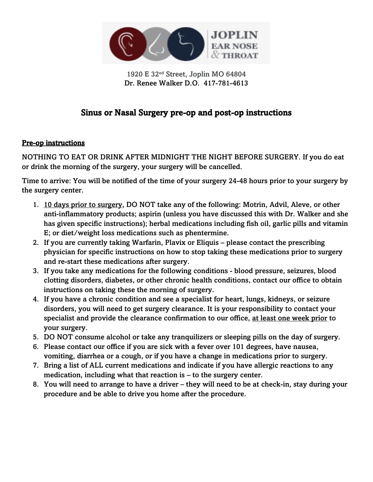

1920 E 32nd Street, Joplin MO 64804 Dr. Renee Walker D.O. 417-781-4613

# Sinus or Nasal Surgery pre-op and post-op instructions

#### Pre-op instructions

NOTHING TO EAT OR DRINK AFTER MIDNIGHT THE NIGHT BEFORE SURGERY. If you do eat or drink the morning of the surgery, your surgery will be cancelled.

Time to arrive: You will be notified of the time of your surgery 24-48 hours prior to your surgery by the surgery center.

- 1. 10 days prior to surgery, DO NOT take any of the following: Motrin, Advil, Aleve, or other anti-inflammatory products; aspirin (unless you have discussed this with Dr. Walker and she has given specific instructions); herbal medications including fish oil, garlic pills and vitamin E; or diet/weight loss medications such as phentermine.
- 2. If you are currently taking Warfarin, Plavix or Eliquis please contact the prescribing physician for specific instructions on how to stop taking these medications prior to surgery and re-start these medications after surgery.
- 3. If you take any medications for the following conditions blood pressure, seizures, blood clotting disorders, diabetes, or other chronic health conditions, contact our office to obtain instructions on taking these the morning of surgery.
- 4. If you have a chronic condition and see a specialist for heart, lungs, kidneys, or seizure disorders, you will need to get surgery clearance. It is your responsibility to contact your specialist and provide the clearance confirmation to our office, at least one week prior to your surgery.
- 5. DO NOT consume alcohol or take any tranquilizers or sleeping pills on the day of surgery.
- 6. Please contact our office if you are sick with a fever over 101 degrees, have nausea, vomiting, diarrhea or a cough, or if you have a change in medications prior to surgery.
- 7. Bring a list of ALL current medications and indicate if you have allergic reactions to any medication, including what that reaction is – to the surgery center.
- 8. You will need to arrange to have a driver they will need to be at check-in, stay during your procedure and be able to drive you home after the procedure.